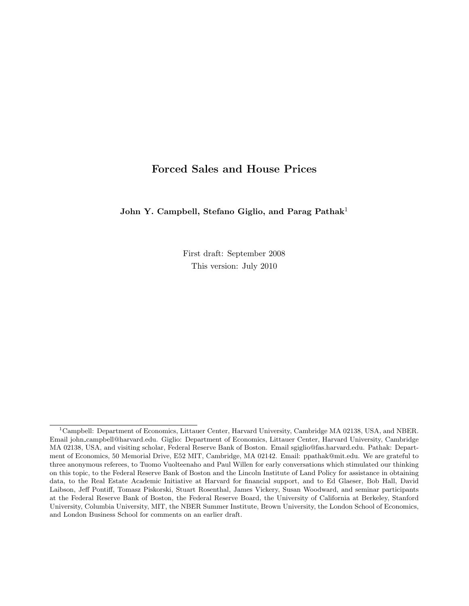# Forced Sales and House Prices

John Y. Campbell, Stefano Giglio, and Parag Pathak<sup>1</sup>

First draft: September 2008 This version: July 2010

<sup>&</sup>lt;sup>1</sup>Campbell: Department of Economics, Littauer Center, Harvard University, Cambridge MA 02138, USA, and NBER. Email john campbell@harvard.edu. Giglio: Department of Economics, Littauer Center, Harvard University, Cambridge MA 02138, USA, and visiting scholar, Federal Reserve Bank of Boston. Email sgiglio@fas.harvard.edu. Pathak: Department of Economics, 50 Memorial Drive, E52 MIT, Cambridge, MA 02142. Email: ppathak@mit.edu. We are grateful to three anonymous referees, to Tuomo Vuolteenaho and Paul Willen for early conversations which stimulated our thinking on this topic, to the Federal Reserve Bank of Boston and the Lincoln Institute of Land Policy for assistance in obtaining data, to the Real Estate Academic Initiative at Harvard for financial support, and to Ed Glaeser, Bob Hall, David Laibson, Jeff Pontiff, Tomasz Piskorski, Stuart Rosenthal, James Vickery, Susan Woodward, and seminar participants at the Federal Reserve Bank of Boston, the Federal Reserve Board, the University of California at Berkeley, Stanford University, Columbia University, MIT, the NBER Summer Institute, Brown University, the London School of Economics, and London Business School for comments on an earlier draft.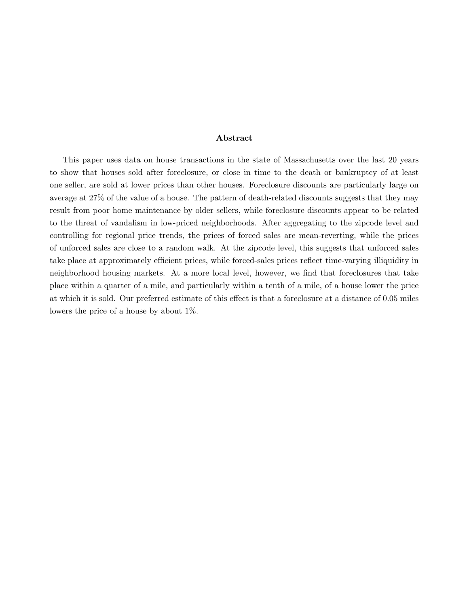### Abstract

This paper uses data on house transactions in the state of Massachusetts over the last 20 years to show that houses sold after foreclosure, or close in time to the death or bankruptcy of at least one seller, are sold at lower prices than other houses. Foreclosure discounts are particularly large on average at 27% of the value of a house. The pattern of death-related discounts suggests that they may result from poor home maintenance by older sellers, while foreclosure discounts appear to be related to the threat of vandalism in low-priced neighborhoods. After aggregating to the zipcode level and controlling for regional price trends, the prices of forced sales are mean-reverting, while the prices of unforced sales are close to a random walk. At the zipcode level, this suggests that unforced sales take place at approximately efficient prices, while forced-sales prices reflect time-varying illiquidity in neighborhood housing markets. At a more local level, however, we find that foreclosures that take place within a quarter of a mile, and particularly within a tenth of a mile, of a house lower the price at which it is sold. Our preferred estimate of this effect is that a foreclosure at a distance of 0.05 miles lowers the price of a house by about 1%.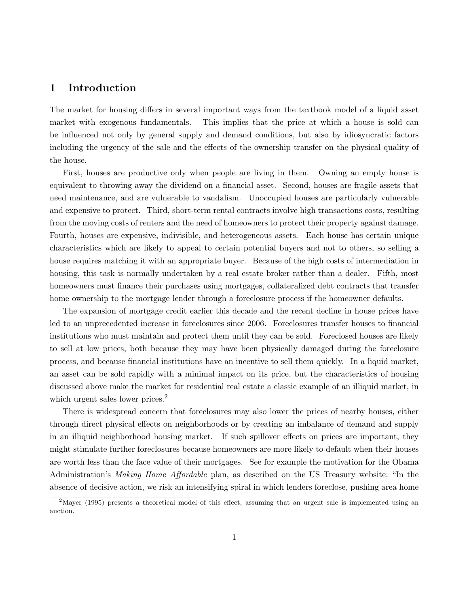## 1 Introduction

The market for housing differs in several important ways from the textbook model of a liquid asset market with exogenous fundamentals. This implies that the price at which a house is sold can be influenced not only by general supply and demand conditions, but also by idiosyncratic factors including the urgency of the sale and the effects of the ownership transfer on the physical quality of the house.

First, houses are productive only when people are living in them. Owning an empty house is equivalent to throwing away the dividend on a financial asset. Second, houses are fragile assets that need maintenance, and are vulnerable to vandalism. Unoccupied houses are particularly vulnerable and expensive to protect. Third, short-term rental contracts involve high transactions costs, resulting from the moving costs of renters and the need of homeowners to protect their property against damage. Fourth, houses are expensive, indivisible, and heterogeneous assets. Each house has certain unique characteristics which are likely to appeal to certain potential buyers and not to others, so selling a house requires matching it with an appropriate buyer. Because of the high costs of intermediation in housing, this task is normally undertaken by a real estate broker rather than a dealer. Fifth, most homeowners must finance their purchases using mortgages, collateralized debt contracts that transfer home ownership to the mortgage lender through a foreclosure process if the homeowner defaults.

The expansion of mortgage credit earlier this decade and the recent decline in house prices have led to an unprecedented increase in foreclosures since 2006. Foreclosures transfer houses to financial institutions who must maintain and protect them until they can be sold. Foreclosed houses are likely to sell at low prices, both because they may have been physically damaged during the foreclosure process, and because financial institutions have an incentive to sell them quickly. In a liquid market, an asset can be sold rapidly with a minimal impact on its price, but the characteristics of housing discussed above make the market for residential real estate a classic example of an illiquid market, in which urgent sales lower prices.<sup>2</sup>

There is widespread concern that foreclosures may also lower the prices of nearby houses, either through direct physical effects on neighborhoods or by creating an imbalance of demand and supply in an illiquid neighborhood housing market. If such spillover effects on prices are important, they might stimulate further foreclosures because homeowners are more likely to default when their houses are worth less than the face value of their mortgages. See for example the motivation for the Obama Administration's *Making Home Affordable* plan, as described on the US Treasury website: "In the absence of decisive action, we risk an intensifying spiral in which lenders foreclose, pushing area home

<sup>&</sup>lt;sup>2</sup>Mayer (1995) presents a theoretical model of this effect, assuming that an urgent sale is implemented using an auction.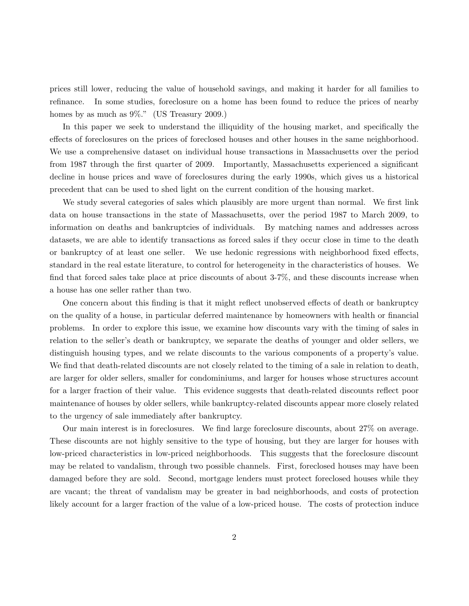prices still lower, reducing the value of household savings, and making it harder for all families to refinance. In some studies, foreclosure on a home has been found to reduce the prices of nearby homes by as much as  $9\%$ ." (US Treasury 2009.)

In this paper we seek to understand the illiquidity of the housing market, and specifically the effects of foreclosures on the prices of foreclosed houses and other houses in the same neighborhood. We use a comprehensive dataset on individual house transactions in Massachusetts over the period from 1987 through the first quarter of 2009. Importantly, Massachusetts experienced a significant decline in house prices and wave of foreclosures during the early 1990s, which gives us a historical precedent that can be used to shed light on the current condition of the housing market.

We study several categories of sales which plausibly are more urgent than normal. We first link data on house transactions in the state of Massachusetts, over the period 1987 to March 2009, to information on deaths and bankruptcies of individuals. By matching names and addresses across datasets, we are able to identify transactions as forced sales if they occur close in time to the death or bankruptcy of at least one seller. We use hedonic regressions with neighborhood fixed effects, standard in the real estate literature, to control for heterogeneity in the characteristics of houses. We find that forced sales take place at price discounts of about 3-7%, and these discounts increase when a house has one seller rather than two.

One concern about this finding is that it might reflect unobserved effects of death or bankruptcy on the quality of a house, in particular deferred maintenance by homeowners with health or financial problems. In order to explore this issue, we examine how discounts vary with the timing of sales in relation to the seller's death or bankruptcy, we separate the deaths of younger and older sellers, we distinguish housing types, and we relate discounts to the various components of a property's value. We find that death-related discounts are not closely related to the timing of a sale in relation to death, are larger for older sellers, smaller for condominiums, and larger for houses whose structures account for a larger fraction of their value. This evidence suggests that death-related discounts reflect poor maintenance of houses by older sellers, while bankruptcy-related discounts appear more closely related to the urgency of sale immediately after bankruptcy.

Our main interest is in foreclosures. We find large foreclosure discounts, about 27% on average. These discounts are not highly sensitive to the type of housing, but they are larger for houses with low-priced characteristics in low-priced neighborhoods. This suggests that the foreclosure discount may be related to vandalism, through two possible channels. First, foreclosed houses may have been damaged before they are sold. Second, mortgage lenders must protect foreclosed houses while they are vacant; the threat of vandalism may be greater in bad neighborhoods, and costs of protection likely account for a larger fraction of the value of a low-priced house. The costs of protection induce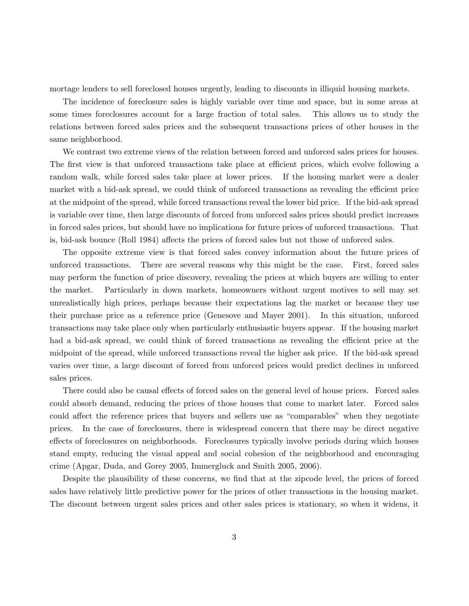mortage lenders to sell foreclosed houses urgently, leading to discounts in illiquid housing markets.

The incidence of foreclosure sales is highly variable over time and space, but in some areas at some times foreclosures account for a large fraction of total sales. This allows us to study the relations between forced sales prices and the subsequent transactions prices of other houses in the same neighborhood.

We contrast two extreme views of the relation between forced and unforced sales prices for houses. The first view is that unforced transactions take place at efficient prices, which evolve following a random walk, while forced sales take place at lower prices. If the housing market were a dealer market with a bid-ask spread, we could think of unforced transactions as revealing the efficient price at the midpoint of the spread, while forced transactions reveal the lower bid price. If the bid-ask spread is variable over time, then large discounts of forced from unforced sales prices should predict increases in forced sales prices, but should have no implications for future prices of unforced transactions. That is, bid-ask bounce (Roll 1984) affects the prices of forced sales but not those of unforced sales.

The opposite extreme view is that forced sales convey information about the future prices of unforced transactions. There are several reasons why this might be the case. First, forced sales may perform the function of price discovery, revealing the prices at which buyers are willing to enter the market. Particularly in down markets, homeowners without urgent motives to sell may set unrealistically high prices, perhaps because their expectations lag the market or because they use their purchase price as a reference price (Genesove and Mayer 2001). In this situation, unforced transactions may take place only when particularly enthusiastic buyers appear. If the housing market had a bid-ask spread, we could think of forced transactions as revealing the efficient price at the midpoint of the spread, while unforced transactions reveal the higher ask price. If the bid-ask spread varies over time, a large discount of forced from unforced prices would predict declines in unforced sales prices.

There could also be causal effects of forced sales on the general level of house prices. Forced sales could absorb demand, reducing the prices of those houses that come to market later. Forced sales could affect the reference prices that buyers and sellers use as "comparables" when they negotiate prices. In the case of foreclosures, there is widespread concern that there may be direct negative effects of foreclosures on neighborhoods. Foreclosures typically involve periods during which houses stand empty, reducing the visual appeal and social cohesion of the neighborhood and encouraging crime (Apgar, Duda, and Gorey 2005, Immergluck and Smith 2005, 2006).

Despite the plausibility of these concerns, we find that at the zipcode level, the prices of forced sales have relatively little predictive power for the prices of other transactions in the housing market. The discount between urgent sales prices and other sales prices is stationary, so when it widens, it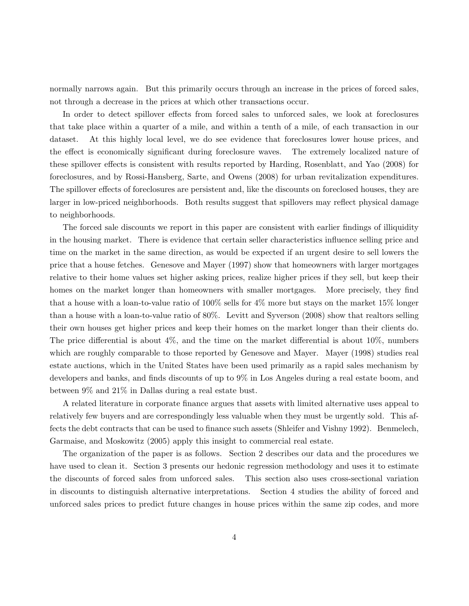normally narrows again. But this primarily occurs through an increase in the prices of forced sales, not through a decrease in the prices at which other transactions occur.

In order to detect spillover effects from forced sales to unforced sales, we look at foreclosures that take place within a quarter of a mile, and within a tenth of a mile, of each transaction in our dataset. At this highly local level, we do see evidence that foreclosures lower house prices, and the effect is economically significant during foreclosure waves. The extremely localized nature of these spillover effects is consistent with results reported by Harding, Rosenblatt, and Yao (2008) for foreclosures, and by Rossi-Hansberg, Sarte, and Owens (2008) for urban revitalization expenditures. The spillover effects of foreclosures are persistent and, like the discounts on foreclosed houses, they are larger in low-priced neighborhoods. Both results suggest that spillovers may reflect physical damage to neighborhoods.

The forced sale discounts we report in this paper are consistent with earlier findings of illiquidity in the housing market. There is evidence that certain seller characteristics influence selling price and time on the market in the same direction, as would be expected if an urgent desire to sell lowers the price that a house fetches. Genesove and Mayer (1997) show that homeowners with larger mortgages relative to their home values set higher asking prices, realize higher prices if they sell, but keep their homes on the market longer than homeowners with smaller mortgages. More precisely, they find that a house with a loan-to-value ratio of 100% sells for 4% more but stays on the market 15% longer than a house with a loan-to-value ratio of 80%. Levitt and Syverson (2008) show that realtors selling their own houses get higher prices and keep their homes on the market longer than their clients do. The price differential is about 4%, and the time on the market differential is about 10%, numbers which are roughly comparable to those reported by Genesove and Mayer. Mayer (1998) studies real estate auctions, which in the United States have been used primarily as a rapid sales mechanism by developers and banks, and finds discounts of up to 9% in Los Angeles during a real estate boom, and between 9% and 21% in Dallas during a real estate bust.

A related literature in corporate finance argues that assets with limited alternative uses appeal to relatively few buyers and are correspondingly less valuable when they must be urgently sold. This affects the debt contracts that can be used to finance such assets (Shleifer and Vishny 1992). Benmelech, Garmaise, and Moskowitz (2005) apply this insight to commercial real estate.

The organization of the paper is as follows. Section 2 describes our data and the procedures we have used to clean it. Section 3 presents our hedonic regression methodology and uses it to estimate the discounts of forced sales from unforced sales. This section also uses cross-sectional variation in discounts to distinguish alternative interpretations. Section 4 studies the ability of forced and unforced sales prices to predict future changes in house prices within the same zip codes, and more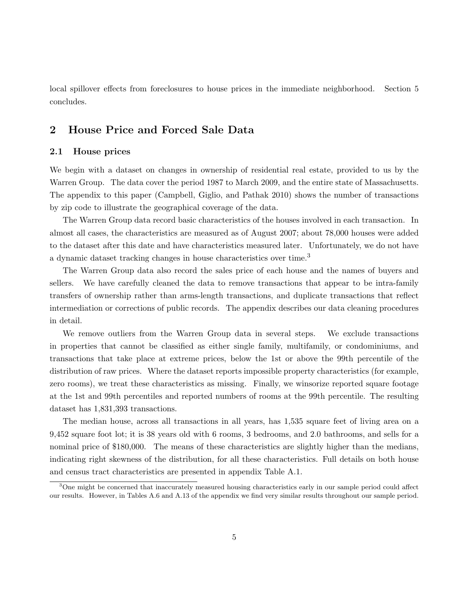local spillover effects from foreclosures to house prices in the immediate neighborhood. Section 5 concludes.

## 2 House Price and Forced Sale Data

### 2.1 House prices

We begin with a dataset on changes in ownership of residential real estate, provided to us by the Warren Group. The data cover the period 1987 to March 2009, and the entire state of Massachusetts. The appendix to this paper (Campbell, Giglio, and Pathak 2010) shows the number of transactions by zip code to illustrate the geographical coverage of the data.

The Warren Group data record basic characteristics of the houses involved in each transaction. In almost all cases, the characteristics are measured as of August 2007; about 78,000 houses were added to the dataset after this date and have characteristics measured later. Unfortunately, we do not have a dynamic dataset tracking changes in house characteristics over time.<sup>3</sup>

The Warren Group data also record the sales price of each house and the names of buyers and sellers. We have carefully cleaned the data to remove transactions that appear to be intra-family transfers of ownership rather than arms-length transactions, and duplicate transactions that reflect intermediation or corrections of public records. The appendix describes our data cleaning procedures in detail.

We remove outliers from the Warren Group data in several steps. We exclude transactions in properties that cannot be classified as either single family, multifamily, or condominiums, and transactions that take place at extreme prices, below the 1st or above the 99th percentile of the distribution of raw prices. Where the dataset reports impossible property characteristics (for example, zero rooms), we treat these characteristics as missing. Finally, we winsorize reported square footage at the 1st and 99th percentiles and reported numbers of rooms at the 99th percentile. The resulting dataset has 1,831,393 transactions.

The median house, across all transactions in all years, has 1,535 square feet of living area on a 9,452 square foot lot; it is 38 years old with 6 rooms, 3 bedrooms, and 2.0 bathrooms, and sells for a nominal price of \$180,000. The means of these characteristics are slightly higher than the medians, indicating right skewness of the distribution, for all these characteristics. Full details on both house and census tract characteristics are presented in appendix Table A.1.

<sup>&</sup>lt;sup>3</sup>One might be concerned that inaccurately measured housing characteristics early in our sample period could affect our results. However, in Tables A.6 and A.13 of the appendix we find very similar results throughout our sample period.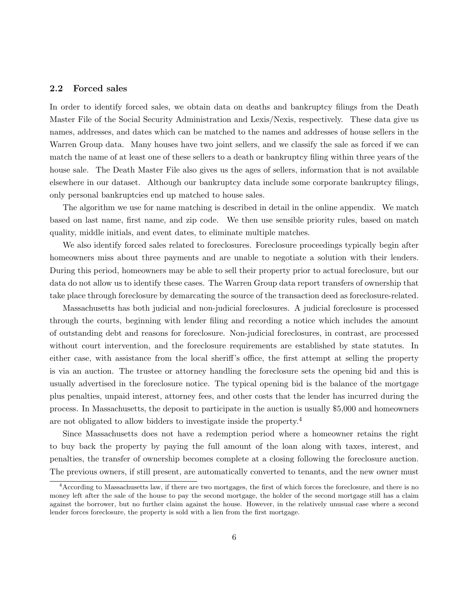### 2.2 Forced sales

In order to identify forced sales, we obtain data on deaths and bankruptcy filings from the Death Master File of the Social Security Administration and Lexis/Nexis, respectively. These data give us names, addresses, and dates which can be matched to the names and addresses of house sellers in the Warren Group data. Many houses have two joint sellers, and we classify the sale as forced if we can match the name of at least one of these sellers to a death or bankruptcy filing within three years of the house sale. The Death Master File also gives us the ages of sellers, information that is not available elsewhere in our dataset. Although our bankruptcy data include some corporate bankruptcy filings, only personal bankruptcies end up matched to house sales.

The algorithm we use for name matching is described in detail in the online appendix. We match based on last name, first name, and zip code. We then use sensible priority rules, based on match quality, middle initials, and event dates, to eliminate multiple matches.

We also identify forced sales related to foreclosures. Foreclosure proceedings typically begin after homeowners miss about three payments and are unable to negotiate a solution with their lenders. During this period, homeowners may be able to sell their property prior to actual foreclosure, but our data do not allow us to identify these cases. The Warren Group data report transfers of ownership that take place through foreclosure by demarcating the source of the transaction deed as foreclosure-related.

Massachusetts has both judicial and non-judicial foreclosures. A judicial foreclosure is processed through the courts, beginning with lender filing and recording a notice which includes the amount of outstanding debt and reasons for foreclosure. Non-judicial foreclosures, in contrast, are processed without court intervention, and the foreclosure requirements are established by state statutes. In either case, with assistance from the local sheriff's office, the first attempt at selling the property is via an auction. The trustee or attorney handling the foreclosure sets the opening bid and this is usually advertised in the foreclosure notice. The typical opening bid is the balance of the mortgage plus penalties, unpaid interest, attorney fees, and other costs that the lender has incurred during the process. In Massachusetts, the deposit to participate in the auction is usually \$5,000 and homeowners are not obligated to allow bidders to investigate inside the property.<sup>4</sup>

Since Massachusetts does not have a redemption period where a homeowner retains the right to buy back the property by paying the full amount of the loan along with taxes, interest, and penalties, the transfer of ownership becomes complete at a closing following the foreclosure auction. The previous owners, if still present, are automatically converted to tenants, and the new owner must

<sup>&</sup>lt;sup>4</sup> According to Massachusetts law, if there are two mortgages, the first of which forces the foreclosure, and there is no money left after the sale of the house to pay the second mortgage, the holder of the second mortgage still has a claim against the borrower, but no further claim against the house. However, in the relatively unusual case where a second lender forces foreclosure, the property is sold with a lien from the first mortgage.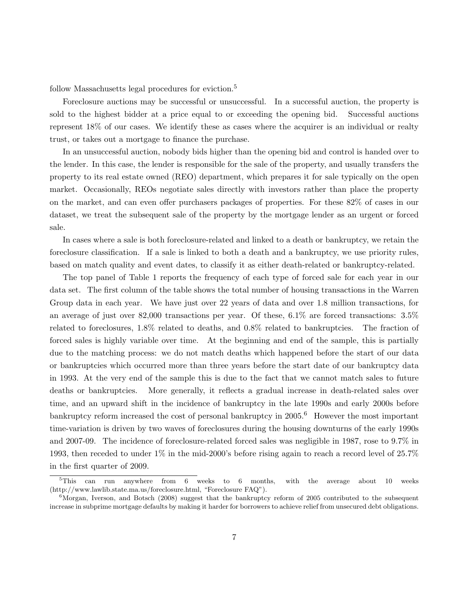follow Massachusetts legal procedures for eviction.<sup>5</sup>

Foreclosure auctions may be successful or unsuccessful. In a successful auction, the property is sold to the highest bidder at a price equal to or exceeding the opening bid. Successful auctions represent 18% of our cases. We identify these as cases where the acquirer is an individual or realty trust, or takes out a mortgage to finance the purchase.

In an unsuccessful auction, nobody bids higher than the opening bid and control is handed over to the lender. In this case, the lender is responsible for the sale of the property, and usually transfers the property to its real estate owned (REO) department, which prepares it for sale typically on the open market. Occasionally, REOs negotiate sales directly with investors rather than place the property on the market, and can even offer purchasers packages of properties. For these 82% of cases in our dataset, we treat the subsequent sale of the property by the mortgage lender as an urgent or forced sale.

In cases where a sale is both foreclosure-related and linked to a death or bankruptcy, we retain the foreclosure classification. If a sale is linked to both a death and a bankruptcy, we use priority rules, based on match quality and event dates, to classify it as either death-related or bankruptcy-related.

The top panel of Table 1 reports the frequency of each type of forced sale for each year in our data set. The first column of the table shows the total number of housing transactions in the Warren Group data in each year. We have just over 22 years of data and over 1.8 million transactions, for an average of just over 82,000 transactions per year. Of these, 6.1% are forced transactions: 3.5% related to foreclosures, 1.8% related to deaths, and 0.8% related to bankruptcies. The fraction of forced sales is highly variable over time. At the beginning and end of the sample, this is partially due to the matching process: we do not match deaths which happened before the start of our data or bankruptcies which occurred more than three years before the start date of our bankruptcy data in 1993. At the very end of the sample this is due to the fact that we cannot match sales to future deaths or bankruptcies. More generally, it reflects a gradual increase in death-related sales over time, and an upward shift in the incidence of bankruptcy in the late 1990s and early 2000s before bankruptcy reform increased the cost of personal bankruptcy in 2005.<sup>6</sup> However the most important time-variation is driven by two waves of foreclosures during the housing downturns of the early 1990s and 2007-09. The incidence of foreclosure-related forced sales was negligible in 1987, rose to 9.7% in 1993, then receded to under 1% in the mid-2000's before rising again to reach a record level of 25.7% in the first quarter of 2009.

 $5$ This can run anywhere from 6 weeks to 6 months, with the average about 10 weeks (http://www.lawlib.state.ma.us/foreclosure.html, "Foreclosure FAQ").

 $6Morgan$ , Iverson, and Botsch (2008) suggest that the bankruptcy reform of 2005 contributed to the subsequent increase in subprime mortgage defaults by making it harder for borrowers to achieve relief from unsecured debt obligations.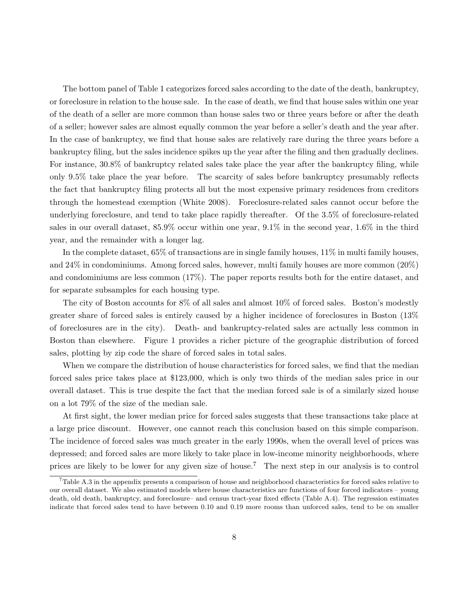The bottom panel of Table 1 categorizes forced sales according to the date of the death, bankruptcy, or foreclosure in relation to the house sale. In the case of death, we find that house sales within one year of the death of a seller are more common than house sales two or three years before or after the death of a seller; however sales are almost equally common the year before a seller's death and the year after. In the case of bankruptcy, we find that house sales are relatively rare during the three years before a bankruptcy filing, but the sales incidence spikes up the year after the filing and then gradually declines. For instance, 30.8% of bankruptcy related sales take place the year after the bankruptcy filing, while only 9.5% take place the year before. The scarcity of sales before bankruptcy presumably reflects the fact that bankruptcy filing protects all but the most expensive primary residences from creditors through the homestead exemption (White 2008). Foreclosure-related sales cannot occur before the underlying foreclosure, and tend to take place rapidly thereafter. Of the 3.5% of foreclosure-related sales in our overall dataset, 85.9% occur within one year, 9.1% in the second year, 1.6% in the third year, and the remainder with a longer lag.

In the complete dataset, 65% of transactions are in single family houses, 11% in multi family houses, and 24% in condominiums. Among forced sales, however, multi family houses are more common (20%) and condominiums are less common (17%). The paper reports results both for the entire dataset, and for separate subsamples for each housing type.

The city of Boston accounts for 8% of all sales and almost 10% of forced sales. Boston's modestly greater share of forced sales is entirely caused by a higher incidence of foreclosures in Boston (13% of foreclosures are in the city). Death- and bankruptcy-related sales are actually less common in Boston than elsewhere. Figure 1 provides a richer picture of the geographic distribution of forced sales, plotting by zip code the share of forced sales in total sales.

When we compare the distribution of house characteristics for forced sales, we find that the median forced sales price takes place at \$123,000, which is only two thirds of the median sales price in our overall dataset. This is true despite the fact that the median forced sale is of a similarly sized house on a lot 79% of the size of the median sale.

At first sight, the lower median price for forced sales suggests that these transactions take place at a large price discount. However, one cannot reach this conclusion based on this simple comparison. The incidence of forced sales was much greater in the early 1990s, when the overall level of prices was depressed; and forced sales are more likely to take place in low-income minority neighborhoods, where prices are likely to be lower for any given size of house.<sup>7</sup> The next step in our analysis is to control

 $^7$ Table A.3 in the appendix presents a comparison of house and neighborhood characteristics for forced sales relative to our overall dataset. We also estimated models where house characteristics are functions of four forced indicators – young death, old death, bankruptcy, and foreclosure– and census tract-year fixed effects (Table A.4). The regression estimates indicate that forced sales tend to have between 0.10 and 0.19 more rooms than unforced sales, tend to be on smaller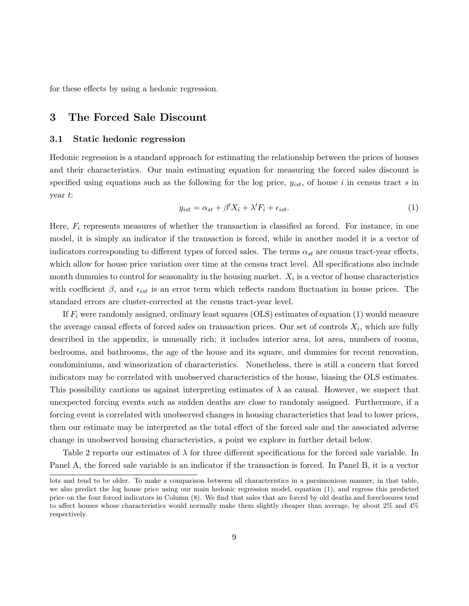for these effects by using a hedonic regression.

### 3 The Forced Sale Discount

### 3.1 Static hedonic regression

Hedonic regression is a standard approach for estimating the relationship between the prices of houses and their characteristics. Our main estimating equation for measuring the forced sales discount is specified using equations such as the following for the log price,  $y_{ist}$ , of house i in census tract s in year t:

$$
y_{ist} = \alpha_{st} + \beta' X_i + \lambda' F_i + \epsilon_{ist}.
$$
\n<sup>(1)</sup>

Here,  $F_i$  represents measures of whether the transaction is classified as forced. For instance, in one model, it is simply an indicator if the transaction is forced, while in another model it is a vector of indicators corresponding to different types of forced sales. The terms  $\alpha_{st}$  are census tract-year effects, which allow for house price variation over time at the census tract level. All specifications also include month dummies to control for seasonality in the housing market.  $X_i$  is a vector of house characteristics with coefficient  $\beta$ , and  $\epsilon_{ist}$  is an error term which reflects random fluctuation in house prices. The standard errors are cluster-corrected at the census tract-year level.

If  $F_i$  were randomly assigned, ordinary least squares (OLS) estimates of equation (1) would measure the average causal effects of forced sales on transaction prices. Our set of controls  $X_i$ , which are fully described in the appendix, is unusually rich; it includes interior area, lot area, numbers of rooms, bedrooms, and bathrooms, the age of the house and its square, and dummies for recent renovation, condominiums, and winsorization of characteristics. Nonetheless, there is still a concern that forced indicators may be correlated with unobserved characteristics of the house, biasing the OLS estimates. This possibility cautions us against interpreting estimates of  $\lambda$  as causal. However, we suspect that unexpected forcing events such as sudden deaths are close to randomly assigned. Furthermore, if a forcing event is correlated with unobserved changes in housing characteristics that lead to lower prices, then our estimate may be interpreted as the total effect of the forced sale and the associated adverse change in unobserved housing characteristics, a point we explore in further detail below.

Table 2 reports our estimates of  $\lambda$  for three different specifications for the forced sale variable. In Panel A, the forced sale variable is an indicator if the transaction is forced. In Panel B, it is a vector

lots and tend to be older. To make a comparison between all characteristics in a parsimonious manner, in that table, we also predict the log house price using our main hedonic regression model, equation (1), and regress this predicted price on the four forced indicators in Column (8). We find that sales that are forced by old deaths and foreclosures tend to affect houses whose characteristics would normally make them slightly cheaper than average, by about 2% and 4% respectively.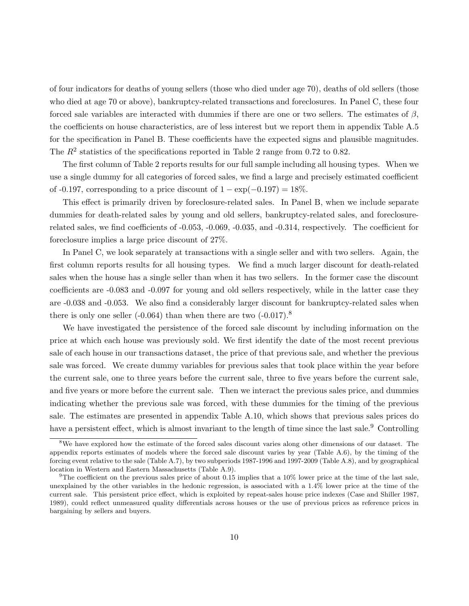of four indicators for deaths of young sellers (those who died under age 70), deaths of old sellers (those who died at age 70 or above), bankruptcy-related transactions and foreclosures. In Panel C, these four forced sale variables are interacted with dummies if there are one or two sellers. The estimates of  $\beta$ , the coefficients on house characteristics, are of less interest but we report them in appendix Table A.5 for the specification in Panel B. These coefficients have the expected signs and plausible magnitudes. The  $R^2$  statistics of the specifications reported in Table 2 range from 0.72 to 0.82.

The first column of Table 2 reports results for our full sample including all housing types. When we use a single dummy for all categories of forced sales, we find a large and precisely estimated coefficient of -0.197, corresponding to a price discount of  $1 - \exp(-0.197) = 18\%$ .

This effect is primarily driven by foreclosure-related sales. In Panel B, when we include separate dummies for death-related sales by young and old sellers, bankruptcy-related sales, and foreclosurerelated sales, we find coefficients of -0.053, -0.069, -0.035, and -0.314, respectively. The coefficient for foreclosure implies a large price discount of 27%.

In Panel C, we look separately at transactions with a single seller and with two sellers. Again, the first column reports results for all housing types. We find a much larger discount for death-related sales when the house has a single seller than when it has two sellers. In the former case the discount coefficients are -0.083 and -0.097 for young and old sellers respectively, while in the latter case they are -0.038 and -0.053. We also find a considerably larger discount for bankruptcy-related sales when there is only one seller  $(-0.064)$  than when there are two  $(-0.017)$ .<sup>8</sup>

We have investigated the persistence of the forced sale discount by including information on the price at which each house was previously sold. We first identify the date of the most recent previous sale of each house in our transactions dataset, the price of that previous sale, and whether the previous sale was forced. We create dummy variables for previous sales that took place within the year before the current sale, one to three years before the current sale, three to five years before the current sale, and five years or more before the current sale. Then we interact the previous sales price, and dummies indicating whether the previous sale was forced, with these dummies for the timing of the previous sale. The estimates are presented in appendix Table A.10, which shows that previous sales prices do have a persistent effect, which is almost invariant to the length of time since the last sale.<sup>9</sup> Controlling

<sup>&</sup>lt;sup>8</sup>We have explored how the estimate of the forced sales discount varies along other dimensions of our dataset. The appendix reports estimates of models where the forced sale discount varies by year (Table A.6), by the timing of the forcing event relative to the sale (Table A.7), by two subperiods 1987-1996 and 1997-2009 (Table A.8), and by geographical location in Western and Eastern Massachusetts (Table A.9).

<sup>&</sup>lt;sup>9</sup>The coefficient on the previous sales price of about 0.15 implies that a  $10\%$  lower price at the time of the last sale, unexplained by the other variables in the hedonic regression, is associated with a 1.4% lower price at the time of the current sale. This persistent price effect, which is exploited by repeat-sales house price indexes (Case and Shiller 1987, 1989), could reflect unmeasured quality differentials across houses or the use of previous prices as reference prices in bargaining by sellers and buyers.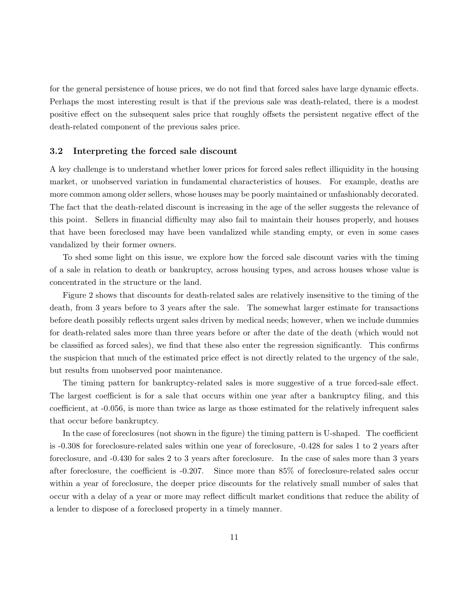for the general persistence of house prices, we do not find that forced sales have large dynamic effects. Perhaps the most interesting result is that if the previous sale was death-related, there is a modest positive effect on the subsequent sales price that roughly offsets the persistent negative effect of the death-related component of the previous sales price.

### 3.2 Interpreting the forced sale discount

A key challenge is to understand whether lower prices for forced sales reflect illiquidity in the housing market, or unobserved variation in fundamental characteristics of houses. For example, deaths are more common among older sellers, whose houses may be poorly maintained or unfashionably decorated. The fact that the death-related discount is increasing in the age of the seller suggests the relevance of this point. Sellers in financial difficulty may also fail to maintain their houses properly, and houses that have been foreclosed may have been vandalized while standing empty, or even in some cases vandalized by their former owners.

To shed some light on this issue, we explore how the forced sale discount varies with the timing of a sale in relation to death or bankruptcy, across housing types, and across houses whose value is concentrated in the structure or the land.

Figure 2 shows that discounts for death-related sales are relatively insensitive to the timing of the death, from 3 years before to 3 years after the sale. The somewhat larger estimate for transactions before death possibly reflects urgent sales driven by medical needs; however, when we include dummies for death-related sales more than three years before or after the date of the death (which would not be classified as forced sales), we find that these also enter the regression significantly. This confirms the suspicion that much of the estimated price effect is not directly related to the urgency of the sale, but results from unobserved poor maintenance.

The timing pattern for bankruptcy-related sales is more suggestive of a true forced-sale effect. The largest coefficient is for a sale that occurs within one year after a bankruptcy filing, and this coefficient, at -0.056, is more than twice as large as those estimated for the relatively infrequent sales that occur before bankruptcy.

In the case of foreclosures (not shown in the figure) the timing pattern is U-shaped. The coefficient is -0.308 for foreclosure-related sales within one year of foreclosure, -0.428 for sales 1 to 2 years after foreclosure, and -0.430 for sales 2 to 3 years after foreclosure. In the case of sales more than 3 years after foreclosure, the coefficient is -0.207. Since more than 85% of foreclosure-related sales occur within a year of foreclosure, the deeper price discounts for the relatively small number of sales that occur with a delay of a year or more may reflect difficult market conditions that reduce the ability of a lender to dispose of a foreclosed property in a timely manner.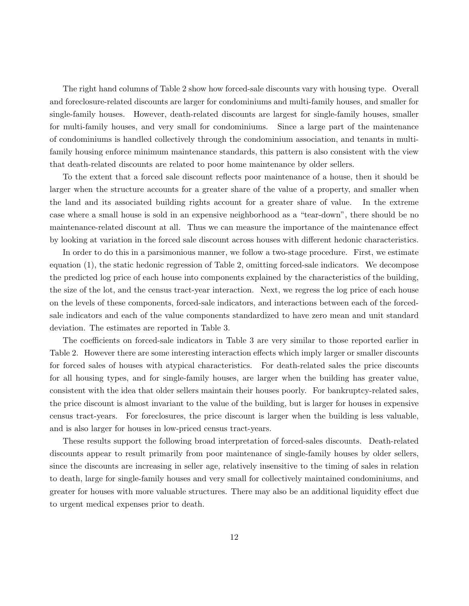The right hand columns of Table 2 show how forced-sale discounts vary with housing type. Overall and foreclosure-related discounts are larger for condominiums and multi-family houses, and smaller for single-family houses. However, death-related discounts are largest for single-family houses, smaller for multi-family houses, and very small for condominiums. Since a large part of the maintenance of condominiums is handled collectively through the condominium association, and tenants in multifamily housing enforce minimum maintenance standards, this pattern is also consistent with the view that death-related discounts are related to poor home maintenance by older sellers.

To the extent that a forced sale discount reflects poor maintenance of a house, then it should be larger when the structure accounts for a greater share of the value of a property, and smaller when the land and its associated building rights account for a greater share of value. In the extreme case where a small house is sold in an expensive neighborhood as a "tear-down", there should be no maintenance-related discount at all. Thus we can measure the importance of the maintenance effect by looking at variation in the forced sale discount across houses with different hedonic characteristics.

In order to do this in a parsimonious manner, we follow a two-stage procedure. First, we estimate equation (1), the static hedonic regression of Table 2, omitting forced-sale indicators. We decompose the predicted log price of each house into components explained by the characteristics of the building, the size of the lot, and the census tract-year interaction. Next, we regress the log price of each house on the levels of these components, forced-sale indicators, and interactions between each of the forcedsale indicators and each of the value components standardized to have zero mean and unit standard deviation. The estimates are reported in Table 3.

The coefficients on forced-sale indicators in Table 3 are very similar to those reported earlier in Table 2. However there are some interesting interaction effects which imply larger or smaller discounts for forced sales of houses with atypical characteristics. For death-related sales the price discounts for all housing types, and for single-family houses, are larger when the building has greater value, consistent with the idea that older sellers maintain their houses poorly. For bankruptcy-related sales, the price discount is almost invariant to the value of the building, but is larger for houses in expensive census tract-years. For foreclosures, the price discount is larger when the building is less valuable, and is also larger for houses in low-priced census tract-years.

These results support the following broad interpretation of forced-sales discounts. Death-related discounts appear to result primarily from poor maintenance of single-family houses by older sellers, since the discounts are increasing in seller age, relatively insensitive to the timing of sales in relation to death, large for single-family houses and very small for collectively maintained condominiums, and greater for houses with more valuable structures. There may also be an additional liquidity effect due to urgent medical expenses prior to death.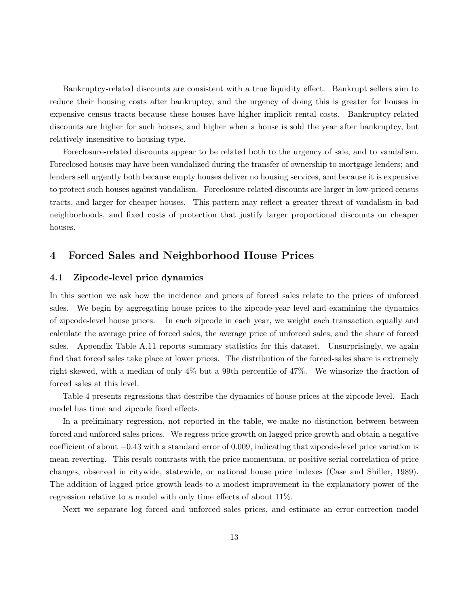Bankruptcy-related discounts are consistent with a true liquidity effect. Bankrupt sellers aim to reduce their housing costs after bankruptcy, and the urgency of doing this is greater for houses in expensive census tracts because these houses have higher implicit rental costs. Bankruptcy-related discounts are higher for such houses, and higher when a house is sold the year after bankruptcy, but relatively insensitive to housing type.

Foreclosure-related discounts appear to be related both to the urgency of sale, and to vandalism. Foreclosed houses may have been vandalized during the transfer of ownership to mortgage lenders; and lenders sell urgently both because empty houses deliver no housing services, and because it is expensive to protect such houses against vandalism. Foreclosure-related discounts are larger in low-priced census tracts, and larger for cheaper houses. This pattern may reflect a greater threat of vandalism in bad neighborhoods, and fixed costs of protection that justify larger proportional discounts on cheaper houses.

## 4 Forced Sales and Neighborhood House Prices

### 4.1 Zipcode-level price dynamics

In this section we ask how the incidence and prices of forced sales relate to the prices of unforced sales. We begin by aggregating house prices to the zipcode-year level and examining the dynamics of zipcode-level house prices. In each zipcode in each year, we weight each transaction equally and calculate the average price of forced sales, the average price of unforced sales, and the share of forced sales. Appendix Table A.11 reports summary statistics for this dataset. Unsurprisingly, we again find that forced sales take place at lower prices. The distribution of the forced-sales share is extremely right-skewed, with a median of only 4% but a 99th percentile of 47%. We winsorize the fraction of forced sales at this level.

Table 4 presents regressions that describe the dynamics of house prices at the zipcode level. Each model has time and zipcode fixed effects.

In a preliminary regression, not reported in the table, we make no distinction between between forced and unforced sales prices. We regress price growth on lagged price growth and obtain a negative coefficient of about −0.43 with a standard error of 0.009, indicating that zipcode-level price variation is mean-reverting. This result contrasts with the price momentum, or positive serial correlation of price changes, observed in citywide, statewide, or national house price indexes (Case and Shiller, 1989). The addition of lagged price growth leads to a modest improvement in the explanatory power of the regression relative to a model with only time effects of about 11%.

Next we separate log forced and unforced sales prices, and estimate an error-correction model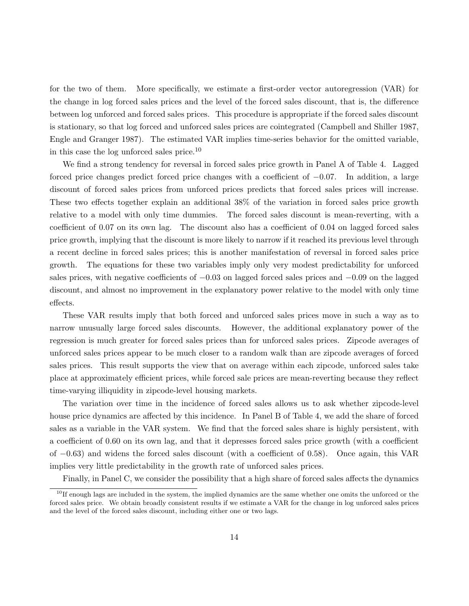for the two of them. More specifically, we estimate a first-order vector autoregression (VAR) for the change in log forced sales prices and the level of the forced sales discount, that is, the difference between log unforced and forced sales prices. This procedure is appropriate if the forced sales discount is stationary, so that log forced and unforced sales prices are cointegrated (Campbell and Shiller 1987, Engle and Granger 1987). The estimated VAR implies time-series behavior for the omitted variable, in this case the log unforced sales price.<sup>10</sup>

We find a strong tendency for reversal in forced sales price growth in Panel A of Table 4. Lagged forced price changes predict forced price changes with a coefficient of −0.07. In addition, a large discount of forced sales prices from unforced prices predicts that forced sales prices will increase. These two effects together explain an additional 38% of the variation in forced sales price growth relative to a model with only time dummies. The forced sales discount is mean-reverting, with a coefficient of 0.07 on its own lag. The discount also has a coefficient of 0.04 on lagged forced sales price growth, implying that the discount is more likely to narrow if it reached its previous level through a recent decline in forced sales prices; this is another manifestation of reversal in forced sales price growth. The equations for these two variables imply only very modest predictability for unforced sales prices, with negative coefficients of  $-0.03$  on lagged forced sales prices and  $-0.09$  on the lagged discount, and almost no improvement in the explanatory power relative to the model with only time effects.

These VAR results imply that both forced and unforced sales prices move in such a way as to narrow unusually large forced sales discounts. However, the additional explanatory power of the regression is much greater for forced sales prices than for unforced sales prices. Zipcode averages of unforced sales prices appear to be much closer to a random walk than are zipcode averages of forced sales prices. This result supports the view that on average within each zipcode, unforced sales take place at approximately efficient prices, while forced sale prices are mean-reverting because they reflect time-varying illiquidity in zipcode-level housing markets.

The variation over time in the incidence of forced sales allows us to ask whether zipcode-level house price dynamics are affected by this incidence. In Panel B of Table 4, we add the share of forced sales as a variable in the VAR system. We find that the forced sales share is highly persistent, with a coefficient of 0.60 on its own lag, and that it depresses forced sales price growth (with a coefficient of −0.63) and widens the forced sales discount (with a coefficient of 0.58). Once again, this VAR implies very little predictability in the growth rate of unforced sales prices.

Finally, in Panel C, we consider the possibility that a high share of forced sales affects the dynamics

<sup>&</sup>lt;sup>10</sup>If enough lags are included in the system, the implied dynamics are the same whether one omits the unforced or the forced sales price. We obtain broadly consistent results if we estimate a VAR for the change in log unforced sales prices and the level of the forced sales discount, including either one or two lags.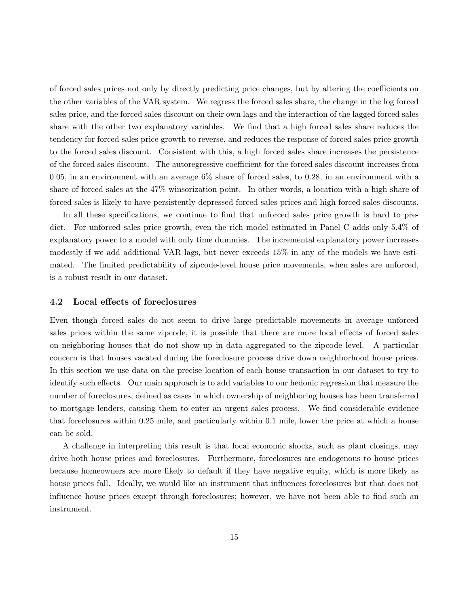of forced sales prices not only by directly predicting price changes, but by altering the coefficients on the other variables of the VAR system. We regress the forced sales share, the change in the log forced sales price, and the forced sales discount on their own lags and the interaction of the lagged forced sales share with the other two explanatory variables. We find that a high forced sales share reduces the tendency for forced sales price growth to reverse, and reduces the response of forced sales price growth to the forced sales discount. Consistent with this, a high forced sales share increases the persistence of the forced sales discount. The autoregressive coefficient for the forced sales discount increases from 0.05, in an environment with an average 6% share of forced sales, to 0.28, in an environment with a share of forced sales at the 47% winsorization point. In other words, a location with a high share of forced sales is likely to have persistently depressed forced sales prices and high forced sales discounts.

In all these specifications, we continue to find that unforced sales price growth is hard to predict. For unforced sales price growth, even the rich model estimated in Panel C adds only 5.4% of explanatory power to a model with only time dummies. The incremental explanatory power increases modestly if we add additional VAR lags, but never exceeds 15% in any of the models we have estimated. The limited predictability of zipcode-level house price movements, when sales are unforced, is a robust result in our dataset.

### 4.2 Local effects of foreclosures

Even though forced sales do not seem to drive large predictable movements in average unforced sales prices within the same zipcode, it is possible that there are more local effects of forced sales on neighboring houses that do not show up in data aggregated to the zipcode level. A particular concern is that houses vacated during the foreclosure process drive down neighborhood house prices. In this section we use data on the precise location of each house transaction in our dataset to try to identify such effects. Our main approach is to add variables to our hedonic regression that measure the number of foreclosures, defined as cases in which ownership of neighboring houses has been transferred to mortgage lenders, causing them to enter an urgent sales process. We find considerable evidence that foreclosures within 0.25 mile, and particularly within 0.1 mile, lower the price at which a house can be sold.

A challenge in interpreting this result is that local economic shocks, such as plant closings, may drive both house prices and foreclosures. Furthermore, foreclosures are endogenous to house prices because homeowners are more likely to default if they have negative equity, which is more likely as house prices fall. Ideally, we would like an instrument that influences foreclosures but that does not influence house prices except through foreclosures; however, we have not been able to find such an instrument.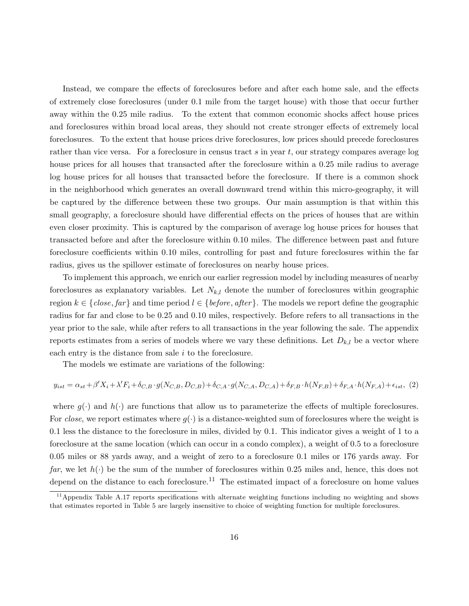Instead, we compare the effects of foreclosures before and after each home sale, and the effects of extremely close foreclosures (under 0.1 mile from the target house) with those that occur further away within the 0.25 mile radius. To the extent that common economic shocks affect house prices and foreclosures within broad local areas, they should not create stronger effects of extremely local foreclosures. To the extent that house prices drive foreclosures, low prices should precede foreclosures rather than vice versa. For a foreclosure in census tract s in year t, our strategy compares average log house prices for all houses that transacted after the foreclosure within a 0.25 mile radius to average log house prices for all houses that transacted before the foreclosure. If there is a common shock in the neighborhood which generates an overall downward trend within this micro-geography, it will be captured by the difference between these two groups. Our main assumption is that within this small geography, a foreclosure should have differential effects on the prices of houses that are within even closer proximity. This is captured by the comparison of average log house prices for houses that transacted before and after the foreclosure within 0.10 miles. The difference between past and future foreclosure coefficients within 0.10 miles, controlling for past and future foreclosures within the far radius, gives us the spillover estimate of foreclosures on nearby house prices.

To implement this approach, we enrich our earlier regression model by including measures of nearby foreclosures as explanatory variables. Let  $N_{k,l}$  denote the number of foreclosures within geographic region  $k \in \{close, far\}$  and time period  $l \in \{before, after\}$ . The models we report define the geographic radius for far and close to be 0.25 and 0.10 miles, respectively. Before refers to all transactions in the year prior to the sale, while after refers to all transactions in the year following the sale. The appendix reports estimates from a series of models where we vary these definitions. Let  $D_{k,l}$  be a vector where each entry is the distance from sale i to the foreclosure.

The models we estimate are variations of the following:

$$
y_{ist} = \alpha_{st} + \beta' X_i + \lambda' F_i + \delta_{C,B} \cdot g(N_{C,B}, D_{C,B}) + \delta_{C,A} \cdot g(N_{C,A}, D_{C,A}) + \delta_{F,B} \cdot h(N_{F,B}) + \delta_{F,A} \cdot h(N_{F,A}) + \epsilon_{ist}, (2)
$$

where  $g(\cdot)$  and  $h(\cdot)$  are functions that allow us to parameterize the effects of multiple foreclosures. For close, we report estimates where  $g(\cdot)$  is a distance-weighted sum of foreclosures where the weight is 0.1 less the distance to the foreclosure in miles, divided by 0.1. This indicator gives a weight of 1 to a foreclosure at the same location (which can occur in a condo complex), a weight of 0.5 to a foreclosure 0.05 miles or 88 yards away, and a weight of zero to a foreclosure 0.1 miles or 176 yards away. For far, we let  $h(\cdot)$  be the sum of the number of foreclosures within 0.25 miles and, hence, this does not depend on the distance to each foreclosure.<sup>11</sup> The estimated impact of a foreclosure on home values

<sup>&</sup>lt;sup>11</sup> Appendix Table A.17 reports specifications with alternate weighting functions including no weighting and shows that estimates reported in Table 5 are largely insensitive to choice of weighting function for multiple foreclosures.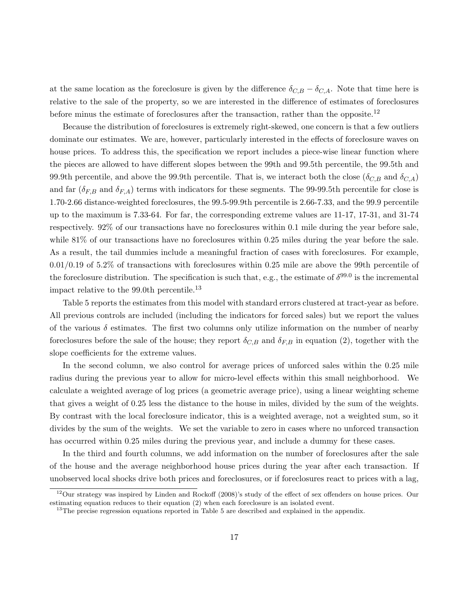at the same location as the foreclosure is given by the difference  $\delta_{C,B} - \delta_{C,A}$ . Note that time here is relative to the sale of the property, so we are interested in the difference of estimates of foreclosures before minus the estimate of foreclosures after the transaction, rather than the opposite.<sup>12</sup>

Because the distribution of foreclosures is extremely right-skewed, one concern is that a few outliers dominate our estimates. We are, however, particularly interested in the effects of foreclosure waves on house prices. To address this, the specification we report includes a piece-wise linear function where the pieces are allowed to have different slopes between the 99th and 99.5th percentile, the 99.5th and 99.9th percentile, and above the 99.9th percentile. That is, we interact both the close  $(\delta_{C,B}$  and  $\delta_{C,A})$ and far  $(\delta_{F,B}$  and  $\delta_{F,A})$  terms with indicators for these segments. The 99-99.5th percentile for close is 1.70-2.66 distance-weighted foreclosures, the 99.5-99.9th percentile is 2.66-7.33, and the 99.9 percentile up to the maximum is 7.33-64. For far, the corresponding extreme values are 11-17, 17-31, and 31-74 respectively. 92% of our transactions have no foreclosures within 0.1 mile during the year before sale, while 81% of our transactions have no foreclosures within 0.25 miles during the year before the sale. As a result, the tail dummies include a meaningful fraction of cases with foreclosures. For example, 0.01/0.19 of 5.2% of transactions with foreclosures within 0.25 mile are above the 99th percentile of the foreclosure distribution. The specification is such that, e.g., the estimate of  $\delta^{99.0}$  is the incremental impact relative to the 99.0th percentile.<sup>13</sup>

Table 5 reports the estimates from this model with standard errors clustered at tract-year as before. All previous controls are included (including the indicators for forced sales) but we report the values of the various  $\delta$  estimates. The first two columns only utilize information on the number of nearby foreclosures before the sale of the house; they report  $\delta_{C,B}$  and  $\delta_{F,B}$  in equation (2), together with the slope coefficients for the extreme values.

In the second column, we also control for average prices of unforced sales within the 0.25 mile radius during the previous year to allow for micro-level effects within this small neighborhood. We calculate a weighted average of log prices (a geometric average price), using a linear weighting scheme that gives a weight of 0.25 less the distance to the house in miles, divided by the sum of the weights. By contrast with the local foreclosure indicator, this is a weighted average, not a weighted sum, so it divides by the sum of the weights. We set the variable to zero in cases where no unforced transaction has occurred within 0.25 miles during the previous year, and include a dummy for these cases.

In the third and fourth columns, we add information on the number of foreclosures after the sale of the house and the average neighborhood house prices during the year after each transaction. If unobserved local shocks drive both prices and foreclosures, or if foreclosures react to prices with a lag,

 $12$ Our strategy was inspired by Linden and Rockoff (2008)'s study of the effect of sex offenders on house prices. Our estimating equation reduces to their equation (2) when each foreclosure is an isolated event.

<sup>&</sup>lt;sup>13</sup>The precise regression equations reported in Table 5 are described and explained in the appendix.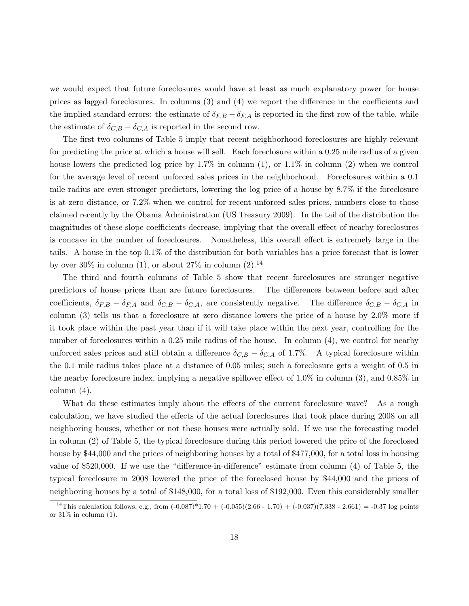we would expect that future foreclosures would have at least as much explanatory power for house prices as lagged foreclosures. In columns (3) and (4) we report the difference in the coefficients and the implied standard errors: the estimate of  $\delta_{F,B} - \delta_{F,A}$  is reported in the first row of the table, while the estimate of  $\delta_{C,B} - \delta_{C,A}$  is reported in the second row.

The first two columns of Table 5 imply that recent neighborhood foreclosures are highly relevant for predicting the price at which a house will sell. Each foreclosure within a 0.25 mile radius of a given house lowers the predicted log price by 1.7% in column (1), or 1.1% in column (2) when we control for the average level of recent unforced sales prices in the neighborhood. Foreclosures within a 0.1 mile radius are even stronger predictors, lowering the log price of a house by 8.7% if the foreclosure is at zero distance, or 7.2% when we control for recent unforced sales prices, numbers close to those claimed recently by the Obama Administration (US Treasury 2009). In the tail of the distribution the magnitudes of these slope coefficients decrease, implying that the overall effect of nearby foreclosures is concave in the number of foreclosures. Nonetheless, this overall effect is extremely large in the tails. A house in the top 0.1% of the distribution for both variables has a price forecast that is lower by over  $30\%$  in column (1), or about  $27\%$  in column (2).<sup>14</sup>

The third and fourth columns of Table 5 show that recent foreclosures are stronger negative predictors of house prices than are future foreclosures. The differences between before and after coefficients,  $\delta_{F,B} - \delta_{F,A}$  and  $\delta_{C,B} - \delta_{C,A}$ , are consistently negative. The difference  $\delta_{C,B} - \delta_{C,A}$  in column (3) tells us that a foreclosure at zero distance lowers the price of a house by 2.0% more if it took place within the past year than if it will take place within the next year, controlling for the number of foreclosures within a 0.25 mile radius of the house. In column (4), we control for nearby unforced sales prices and still obtain a difference  $\delta_{C,B} - \delta_{C,A}$  of 1.7%. A typical foreclosure within the 0.1 mile radius takes place at a distance of 0.05 miles; such a foreclosure gets a weight of 0.5 in the nearby foreclosure index, implying a negative spillover effect of 1.0% in column (3), and 0.85% in column (4).

What do these estimates imply about the effects of the current foreclosure wave? As a rough calculation, we have studied the effects of the actual foreclosures that took place during 2008 on all neighboring houses, whether or not these houses were actually sold. If we use the forecasting model in column (2) of Table 5, the typical foreclosure during this period lowered the price of the foreclosed house by \$44,000 and the prices of neighboring houses by a total of \$477,000, for a total loss in housing value of \$520,000. If we use the "difference-in-difference" estimate from column (4) of Table 5, the typical foreclosure in 2008 lowered the price of the foreclosed house by \$44,000 and the prices of neighboring houses by a total of \$148,000, for a total loss of \$192,000. Even this considerably smaller

<sup>&</sup>lt;sup>14</sup>This calculation follows, e.g., from  $(-0.087)^*1.70 + (-0.055)(2.66 - 1.70) + (-0.037)(7.338 - 2.661) = -0.37 \log \text{points}$ or  $31\%$  in column  $(1)$ .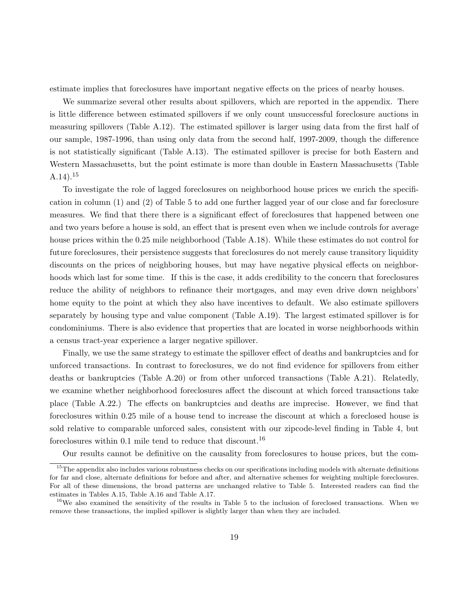estimate implies that foreclosures have important negative effects on the prices of nearby houses.

We summarize several other results about spillovers, which are reported in the appendix. There is little difference between estimated spillovers if we only count unsuccessful foreclosure auctions in measuring spillovers (Table A.12). The estimated spillover is larger using data from the first half of our sample, 1987-1996, than using only data from the second half, 1997-2009, though the difference is not statistically significant (Table A.13). The estimated spillover is precise for both Eastern and Western Massachusetts, but the point estimate is more than double in Eastern Massachusetts (Table  $A.14$ ).<sup>15</sup>

To investigate the role of lagged foreclosures on neighborhood house prices we enrich the specification in column (1) and (2) of Table 5 to add one further lagged year of our close and far foreclosure measures. We find that there there is a significant effect of foreclosures that happened between one and two years before a house is sold, an effect that is present even when we include controls for average house prices within the 0.25 mile neighborhood (Table A.18). While these estimates do not control for future foreclosures, their persistence suggests that foreclosures do not merely cause transitory liquidity discounts on the prices of neighboring houses, but may have negative physical effects on neighborhoods which last for some time. If this is the case, it adds credibility to the concern that foreclosures reduce the ability of neighbors to refinance their mortgages, and may even drive down neighbors' home equity to the point at which they also have incentives to default. We also estimate spillovers separately by housing type and value component (Table A.19). The largest estimated spillover is for condominiums. There is also evidence that properties that are located in worse neighborhoods within a census tract-year experience a larger negative spillover.

Finally, we use the same strategy to estimate the spillover effect of deaths and bankruptcies and for unforced transactions. In contrast to foreclosures, we do not find evidence for spillovers from either deaths or bankruptcies (Table A.20) or from other unforced transactions (Table A.21). Relatedly, we examine whether neighborhood foreclosures affect the discount at which forced transactions take place (Table A.22.) The effects on bankruptcies and deaths are imprecise. However, we find that foreclosures within 0.25 mile of a house tend to increase the discount at which a foreclosed house is sold relative to comparable unforced sales, consistent with our zipcode-level finding in Table 4, but foreclosures within 0.1 mile tend to reduce that discount.<sup>16</sup>

Our results cannot be definitive on the causality from foreclosures to house prices, but the com-

<sup>&</sup>lt;sup>15</sup>The appendix also includes various robustness checks on our specifications including models with alternate definitions for far and close, alternate definitions for before and after, and alternative schemes for weighting multiple foreclosures. For all of these dimensions, the broad patterns are unchanged relative to Table 5. Interested readers can find the estimates in Tables A.15, Table A.16 and Table A.17.

<sup>&</sup>lt;sup>16</sup>We also examined the sensitivity of the results in Table 5 to the inclusion of foreclosed transactions. When we remove these transactions, the implied spillover is slightly larger than when they are included.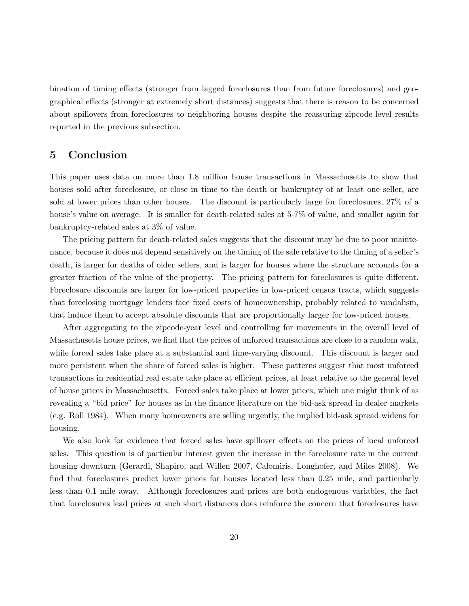bination of timing effects (stronger from lagged foreclosures than from future foreclosures) and geographical effects (stronger at extremely short distances) suggests that there is reason to be concerned about spillovers from foreclosures to neighboring houses despite the reassuring zipcode-level results reported in the previous subsection.

# 5 Conclusion

This paper uses data on more than 1.8 million house transactions in Massachusetts to show that houses sold after foreclosure, or close in time to the death or bankruptcy of at least one seller, are sold at lower prices than other houses. The discount is particularly large for foreclosures, 27% of a house's value on average. It is smaller for death-related sales at 5-7% of value, and smaller again for bankruptcy-related sales at 3% of value.

The pricing pattern for death-related sales suggests that the discount may be due to poor maintenance, because it does not depend sensitively on the timing of the sale relative to the timing of a seller's death, is larger for deaths of older sellers, and is larger for houses where the structure accounts for a greater fraction of the value of the property. The pricing pattern for foreclosures is quite different. Foreclosure discounts are larger for low-priced properties in low-priced census tracts, which suggests that foreclosing mortgage lenders face fixed costs of homeownership, probably related to vandalism, that induce them to accept absolute discounts that are proportionally larger for low-priced houses.

After aggregating to the zipcode-year level and controlling for movements in the overall level of Massachusetts house prices, we find that the prices of unforced transactions are close to a random walk, while forced sales take place at a substantial and time-varying discount. This discount is larger and more persistent when the share of forced sales is higher. These patterns suggest that most unforced transactions in residential real estate take place at efficient prices, at least relative to the general level of house prices in Massachusetts. Forced sales take place at lower prices, which one might think of as revealing a "bid price" for houses as in the finance literature on the bid-ask spread in dealer markets (e.g. Roll 1984). When many homeowners are selling urgently, the implied bid-ask spread widens for housing.

We also look for evidence that forced sales have spillover effects on the prices of local unforced sales. This question is of particular interest given the increase in the foreclosure rate in the current housing downturn (Gerardi, Shapiro, and Willen 2007, Calomiris, Longhofer, and Miles 2008). We find that foreclosures predict lower prices for houses located less than 0.25 mile, and particularly less than 0.1 mile away. Although foreclosures and prices are both endogenous variables, the fact that foreclosures lead prices at such short distances does reinforce the concern that foreclosures have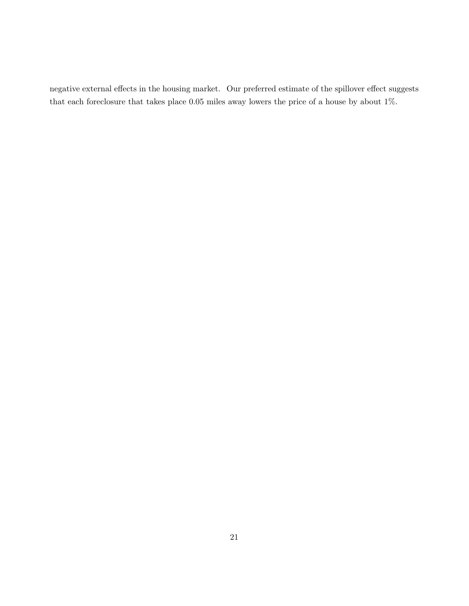negative external effects in the housing market. Our preferred estimate of the spillover effect suggests that each foreclosure that takes place 0.05 miles away lowers the price of a house by about 1%.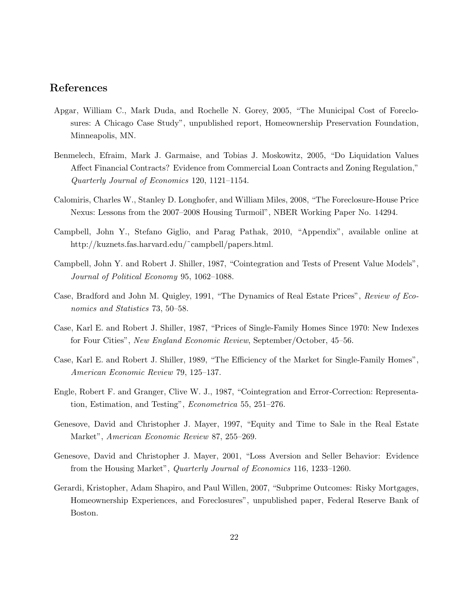## References

- Apgar, William C., Mark Duda, and Rochelle N. Gorey, 2005, "The Municipal Cost of Foreclosures: A Chicago Case Study", unpublished report, Homeownership Preservation Foundation, Minneapolis, MN.
- Benmelech, Efraim, Mark J. Garmaise, and Tobias J. Moskowitz, 2005, "Do Liquidation Values Affect Financial Contracts? Evidence from Commercial Loan Contracts and Zoning Regulation," Quarterly Journal of Economics 120, 1121–1154.
- Calomiris, Charles W., Stanley D. Longhofer, and William Miles, 2008, "The Foreclosure-House Price Nexus: Lessons from the 2007–2008 Housing Turmoil", NBER Working Paper No. 14294.
- Campbell, John Y., Stefano Giglio, and Parag Pathak, 2010, "Appendix", available online at http://kuznets.fas.harvard.edu/˜campbell/papers.html.
- Campbell, John Y. and Robert J. Shiller, 1987, "Cointegration and Tests of Present Value Models", Journal of Political Economy 95, 1062–1088.
- Case, Bradford and John M. Quigley, 1991, "The Dynamics of Real Estate Prices", Review of Economics and Statistics 73, 50–58.
- Case, Karl E. and Robert J. Shiller, 1987, "Prices of Single-Family Homes Since 1970: New Indexes for Four Cities", New England Economic Review, September/October, 45–56.
- Case, Karl E. and Robert J. Shiller, 1989, "The Efficiency of the Market for Single-Family Homes", American Economic Review 79, 125–137.
- Engle, Robert F. and Granger, Clive W. J., 1987, "Cointegration and Error-Correction: Representation, Estimation, and Testing", Econometrica 55, 251–276.
- Genesove, David and Christopher J. Mayer, 1997, "Equity and Time to Sale in the Real Estate Market", American Economic Review 87, 255–269.
- Genesove, David and Christopher J. Mayer, 2001, "Loss Aversion and Seller Behavior: Evidence from the Housing Market", Quarterly Journal of Economics 116, 1233–1260.
- Gerardi, Kristopher, Adam Shapiro, and Paul Willen, 2007, "Subprime Outcomes: Risky Mortgages, Homeownership Experiences, and Foreclosures", unpublished paper, Federal Reserve Bank of Boston.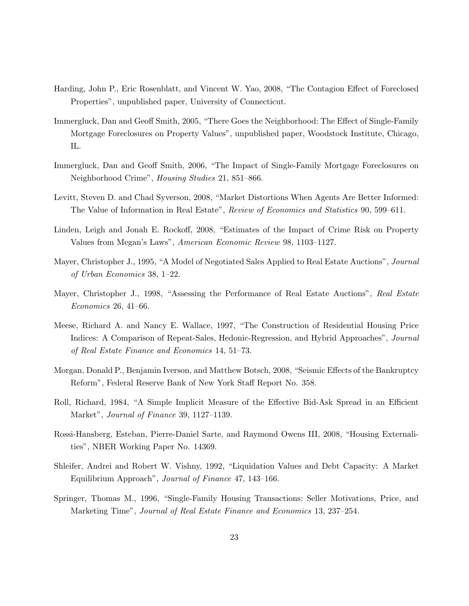- Harding, John P., Eric Rosenblatt, and Vincent W. Yao, 2008, "The Contagion Effect of Foreclosed Properties", unpublished paper, University of Connecticut.
- Immergluck, Dan and Geoff Smith, 2005, "There Goes the Neighborhood: The Effect of Single-Family Mortgage Foreclosures on Property Values", unpublished paper, Woodstock Institute, Chicago, IL.
- Immergluck, Dan and Geoff Smith, 2006, "The Impact of Single-Family Mortgage Foreclosures on Neighborhood Crime", Housing Studies 21, 851–866.
- Levitt, Steven D. and Chad Syverson, 2008, "Market Distortions When Agents Are Better Informed: The Value of Information in Real Estate", Review of Economics and Statistics 90, 599–611.
- Linden, Leigh and Jonah E. Rockoff, 2008, "Estimates of the Impact of Crime Risk on Property Values from Megan's Laws", American Economic Review 98, 1103–1127.
- Mayer, Christopher J., 1995, "A Model of Negotiated Sales Applied to Real Estate Auctions", Journal of Urban Economics 38, 1–22.
- Mayer, Christopher J., 1998, "Assessing the Performance of Real Estate Auctions", Real Estate Economics 26, 41–66.
- Meese, Richard A. and Nancy E. Wallace, 1997, "The Construction of Residential Housing Price Indices: A Comparison of Repeat-Sales, Hedonic-Regression, and Hybrid Approaches", Journal of Real Estate Finance and Economics 14, 51–73.
- Morgan, Donald P., Benjamin Iverson, and Matthew Botsch, 2008, "Seismic Effects of the Bankruptcy Reform", Federal Reserve Bank of New York Staff Report No. 358.
- Roll, Richard, 1984, "A Simple Implicit Measure of the Effective Bid-Ask Spread in an Efficient Market", *Journal of Finance* 39, 1127–1139.
- Rossi-Hansberg, Esteban, Pierre-Daniel Sarte, and Raymond Owens III, 2008, "Housing Externalities", NBER Working Paper No. 14369.
- Shleifer, Andrei and Robert W. Vishny, 1992, "Liquidation Values and Debt Capacity: A Market Equilibrium Approach", Journal of Finance 47, 143–166.
- Springer, Thomas M., 1996, "Single-Family Housing Transactions: Seller Motivations, Price, and Marketing Time", Journal of Real Estate Finance and Economics 13, 237–254.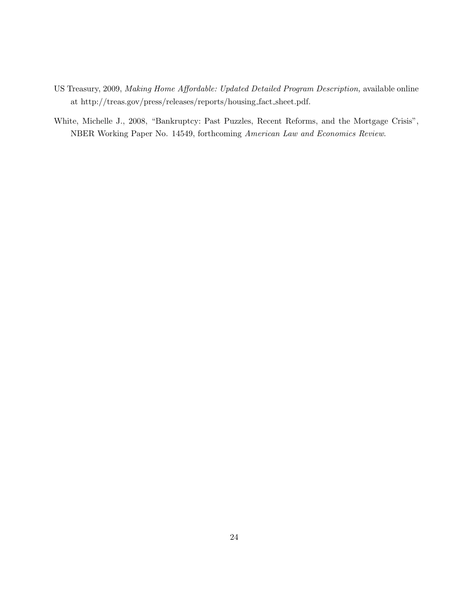- US Treasury, 2009, Making Home Affordable: Updated Detailed Program Description, available online at http://treas.gov/press/releases/reports/housing fact sheet.pdf.
- White, Michelle J., 2008, "Bankruptcy: Past Puzzles, Recent Reforms, and the Mortgage Crisis", NBER Working Paper No. 14549, forthcoming American Law and Economics Review.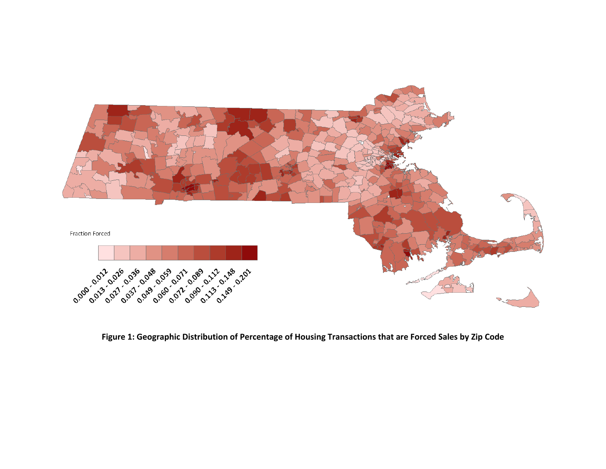

**Figure 1: Geographic Distribution of Percentage of Housing Transactions that are Forced Sales by Zip Code**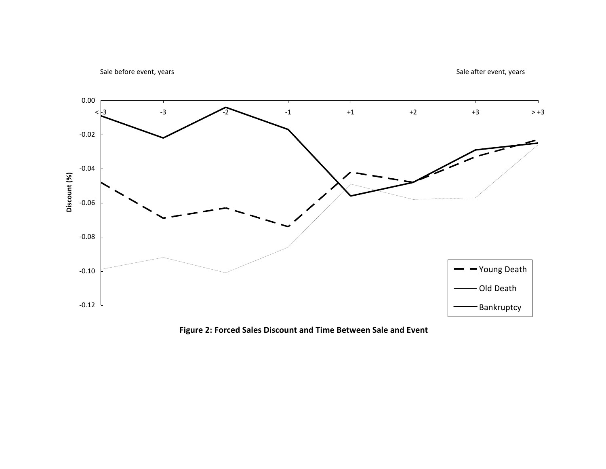Sale before event, years

Sale after event, years



**Figure 2: Forced Sales Discount and Time Between Sale and Event**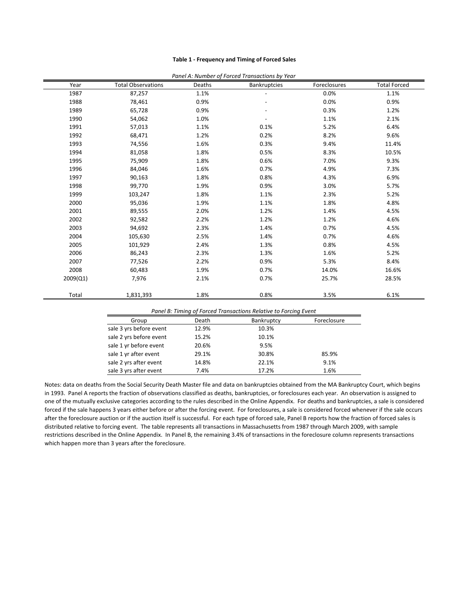#### **Table 1 ‐ Frequency and Timing of Forced Sales**

| Year     | <b>Total Observations</b> | Deaths | Bankruptcies | Foreclosures | <b>Total Forced</b> |
|----------|---------------------------|--------|--------------|--------------|---------------------|
| 1987     | 87,257                    | 1.1%   |              | 0.0%         | 1.1%                |
| 1988     | 78,461                    | 0.9%   |              | 0.0%         | 0.9%                |
| 1989     | 65,728                    | 0.9%   |              | 0.3%         | 1.2%                |
| 1990     | 54,062                    | 1.0%   |              | 1.1%         | 2.1%                |
| 1991     | 57,013                    | 1.1%   | 0.1%         | 5.2%         | 6.4%                |
| 1992     | 68,471                    | 1.2%   | 0.2%         | 8.2%         | 9.6%                |
| 1993     | 74,556                    | 1.6%   | 0.3%         | 9.4%         | 11.4%               |
| 1994     | 81,058                    | 1.8%   | 0.5%         | 8.3%         | 10.5%               |
| 1995     | 75,909                    | 1.8%   | 0.6%         | 7.0%         | 9.3%                |
| 1996     | 84,046                    | 1.6%   | 0.7%         | 4.9%         | 7.3%                |
| 1997     | 90,163                    | 1.8%   | 0.8%         | 4.3%         | 6.9%                |
| 1998     | 99,770                    | 1.9%   | 0.9%         | 3.0%         | 5.7%                |
| 1999     | 103,247                   | 1.8%   | 1.1%         | 2.3%         | 5.2%                |
| 2000     | 95,036                    | 1.9%   | 1.1%         | 1.8%         | 4.8%                |
| 2001     | 89,555                    | 2.0%   | 1.2%         | 1.4%         | 4.5%                |
| 2002     | 92,582                    | 2.2%   | 1.2%         | 1.2%         | 4.6%                |
| 2003     | 94,692                    | 2.3%   | 1.4%         | 0.7%         | 4.5%                |
| 2004     | 105,630                   | 2.5%   | 1.4%         | 0.7%         | 4.6%                |
| 2005     | 101,929                   | 2.4%   | 1.3%         | 0.8%         | 4.5%                |
| 2006     | 86,243                    | 2.3%   | 1.3%         | 1.6%         | 5.2%                |
| 2007     | 77,526                    | 2.2%   | 0.9%         | 5.3%         | 8.4%                |
| 2008     | 60,483                    | 1.9%   | 0.7%         | 14.0%        | 16.6%               |
| 2009(Q1) | 7,976                     | 2.1%   | 0.7%         | 25.7%        | 28.5%               |
|          |                           |        |              |              |                     |
| Total    | 1,831,393                 | 1.8%   | 0.8%         | 3.5%         | 6.1%                |

| Panel A: Number of Forced Transactions by Year |  |  |  |
|------------------------------------------------|--|--|--|
|------------------------------------------------|--|--|--|

| Panel B: Timing of Forced Transactions Relative to Forcing Event |       |            |             |  |  |  |  |
|------------------------------------------------------------------|-------|------------|-------------|--|--|--|--|
| Group                                                            | Death | Bankruptcy | Foreclosure |  |  |  |  |
| sale 3 yrs before event                                          | 12.9% | 10.3%      |             |  |  |  |  |
| sale 2 yrs before event                                          | 15.2% | 10.1%      |             |  |  |  |  |
| sale 1 yr before event                                           | 20.6% | 9.5%       |             |  |  |  |  |
| sale 1 yr after event                                            | 29.1% | 30.8%      | 85.9%       |  |  |  |  |
| sale 2 yrs after event                                           | 14.8% | 22.1%      | 9.1%        |  |  |  |  |
| sale 3 yrs after event                                           | 7.4%  | 17.2%      | 1.6%        |  |  |  |  |

Notes: data on deaths from the Social Security Death Master file and data on bankruptcies obtained from the MA Bankruptcy Court, which begins in 1993. Panel A reports the fraction of observations classified as deaths, bankruptcies, or foreclosures each year. An observation is assigned to one of the mutually exclusive categories according to the rules described in the Online Appendix. For deaths and bankruptcies, a sale is considered forced if the sale happens 3 years either before or after the forcing event. For foreclosures, a sale is considered forced whenever if the sale occurs after the foreclosure auction or if the auction itself is successful. For each type of forced sale, Panel B reports how the fraction of forced sales is distributed relative to forcing event. The table represents all transactions in Massachusetts from 1987 through March 2009, with sample restrictions described in the Online Appendix. In Panel B, the remaining 3.4% of transactions in the foreclosure column represents transactions which happen more than 3 years after the foreclosure.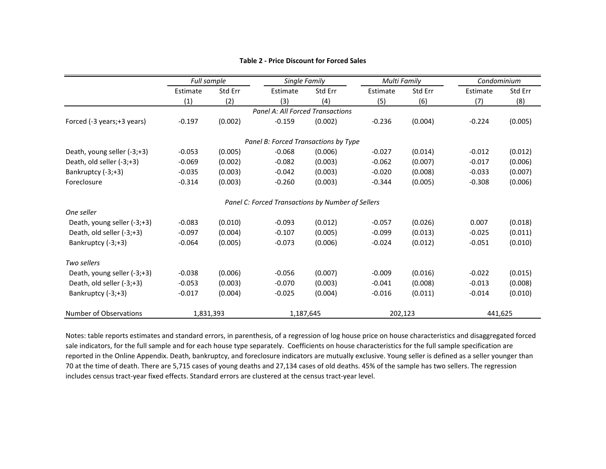|                             | Full sample |         | Single Family                                     |           |          | Multi Family |          | Condominium |
|-----------------------------|-------------|---------|---------------------------------------------------|-----------|----------|--------------|----------|-------------|
|                             | Estimate    | Std Err | Estimate                                          | Std Err   | Estimate | Std Err      | Estimate | Std Err     |
|                             | (1)         | (2)     | (3)                                               | (4)       | (5)      | (6)          | (7)      | (8)         |
|                             |             |         | Panel A: All Forced Transactions                  |           |          |              |          |             |
| Forced (-3 years;+3 years)  | $-0.197$    | (0.002) | $-0.159$                                          | (0.002)   | $-0.236$ | (0.004)      | $-0.224$ | (0.005)     |
|                             |             |         | Panel B: Forced Transactions by Type              |           |          |              |          |             |
| Death, young seller (-3;+3) | $-0.053$    | (0.005) | $-0.068$                                          | (0.006)   | $-0.027$ | (0.014)      | $-0.012$ | (0.012)     |
| Death, old seller (-3;+3)   | $-0.069$    | (0.002) | $-0.082$                                          | (0.003)   | $-0.062$ | (0.007)      | $-0.017$ | (0.006)     |
| Bankruptcy (-3;+3)          | $-0.035$    | (0.003) | $-0.042$                                          | (0.003)   | $-0.020$ | (0.008)      | $-0.033$ | (0.007)     |
| Foreclosure                 | $-0.314$    | (0.003) | $-0.260$                                          | (0.003)   | $-0.344$ | (0.005)      | $-0.308$ | (0.006)     |
|                             |             |         | Panel C: Forced Transactions by Number of Sellers |           |          |              |          |             |
| One seller                  |             |         |                                                   |           |          |              |          |             |
| Death, young seller (-3;+3) | $-0.083$    | (0.010) | $-0.093$                                          | (0.012)   | $-0.057$ | (0.026)      | 0.007    | (0.018)     |
| Death, old seller (-3;+3)   | $-0.097$    | (0.004) | $-0.107$                                          | (0.005)   | $-0.099$ | (0.013)      | $-0.025$ | (0.011)     |
| Bankruptcy (-3;+3)          | $-0.064$    | (0.005) | $-0.073$                                          | (0.006)   | $-0.024$ | (0.012)      | $-0.051$ | (0.010)     |
| Two sellers                 |             |         |                                                   |           |          |              |          |             |
| Death, young seller (-3;+3) | $-0.038$    | (0.006) | $-0.056$                                          | (0.007)   | $-0.009$ | (0.016)      | $-0.022$ | (0.015)     |
| Death, old seller (-3;+3)   | $-0.053$    | (0.003) | $-0.070$                                          | (0.003)   | $-0.041$ | (0.008)      | $-0.013$ | (0.008)     |
| Bankruptcy (-3;+3)          | $-0.017$    | (0.004) | $-0.025$                                          | (0.004)   | $-0.016$ | (0.011)      | $-0.014$ | (0.010)     |
| Number of Observations      | 1,831,393   |         |                                                   | 1,187,645 | 202,123  |              |          | 441,625     |

#### **Table 2 ‐ Price Discount for Forced Sales**

Notes: table reports estimates and standard errors, in parenthesis, of <sup>a</sup> regression of log house price on house characteristics and disaggregated forced sale indicators, for the full sample and for each house type separately. Coefficients on house characteristics for the full sample specification are reported in the Online Appendix. Death, bankruptcy, and foreclosure indicators are mutually exclusive. Young seller is defined as <sup>a</sup> seller younger than 70 at the time of death. There are 5,715 cases of young deaths and 27,134 cases of old deaths. 45% of the sample has two sellers. The regression includes census tract‐year fixed effects. Standard errors are clustered at the census tract‐year level.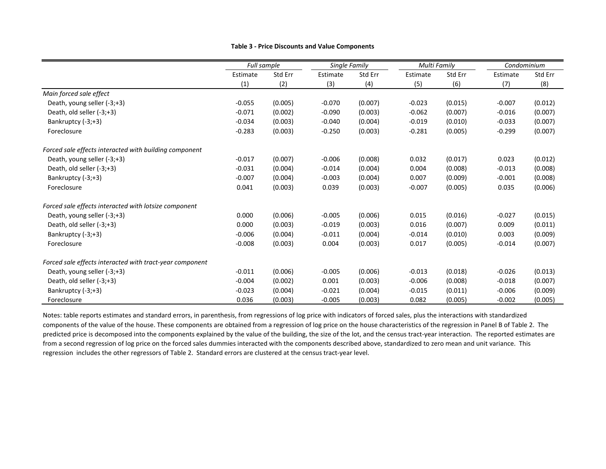| <b>Table 3 - Price Discounts and Value Components</b> |  |  |  |
|-------------------------------------------------------|--|--|--|
|-------------------------------------------------------|--|--|--|

|                                                          | Full sample |         |          | Single Family |          | Multi Family |          | Condominium |  |
|----------------------------------------------------------|-------------|---------|----------|---------------|----------|--------------|----------|-------------|--|
|                                                          | Estimate    | Std Err | Estimate | Std Err       | Estimate | Std Err      | Estimate | Std Err     |  |
|                                                          | (1)         | (2)     | (3)      | (4)           | (5)      | (6)          | (7)      | (8)         |  |
| Main forced sale effect                                  |             |         |          |               |          |              |          |             |  |
| Death, young seller (-3;+3)                              | $-0.055$    | (0.005) | $-0.070$ | (0.007)       | $-0.023$ | (0.015)      | $-0.007$ | (0.012)     |  |
| Death, old seller (-3;+3)                                | $-0.071$    | (0.002) | $-0.090$ | (0.003)       | $-0.062$ | (0.007)      | $-0.016$ | (0.007)     |  |
| Bankruptcy (-3;+3)                                       | $-0.034$    | (0.003) | $-0.040$ | (0.004)       | $-0.019$ | (0.010)      | $-0.033$ | (0.007)     |  |
| Foreclosure                                              | $-0.283$    | (0.003) | $-0.250$ | (0.003)       | $-0.281$ | (0.005)      | $-0.299$ | (0.007)     |  |
| Forced sale effects interacted with building component   |             |         |          |               |          |              |          |             |  |
| Death, young seller (-3;+3)                              | $-0.017$    | (0.007) | $-0.006$ | (0.008)       | 0.032    | (0.017)      | 0.023    | (0.012)     |  |
| Death, old seller (-3;+3)                                | $-0.031$    | (0.004) | $-0.014$ | (0.004)       | 0.004    | (0.008)      | $-0.013$ | (0.008)     |  |
| Bankruptcy (-3;+3)                                       | $-0.007$    | (0.004) | $-0.003$ | (0.004)       | 0.007    | (0.009)      | $-0.001$ | (0.008)     |  |
| Foreclosure                                              | 0.041       | (0.003) | 0.039    | (0.003)       | $-0.007$ | (0.005)      | 0.035    | (0.006)     |  |
| Forced sale effects interacted with lotsize component    |             |         |          |               |          |              |          |             |  |
| Death, young seller (-3;+3)                              | 0.000       | (0.006) | $-0.005$ | (0.006)       | 0.015    | (0.016)      | $-0.027$ | (0.015)     |  |
| Death, old seller (-3;+3)                                | 0.000       | (0.003) | $-0.019$ | (0.003)       | 0.016    | (0.007)      | 0.009    | (0.011)     |  |
| Bankruptcy (-3;+3)                                       | $-0.006$    | (0.004) | $-0.011$ | (0.004)       | $-0.014$ | (0.010)      | 0.003    | (0.009)     |  |
| Foreclosure                                              | $-0.008$    | (0.003) | 0.004    | (0.003)       | 0.017    | (0.005)      | $-0.014$ | (0.007)     |  |
| Forced sale effects interacted with tract-year component |             |         |          |               |          |              |          |             |  |
| Death, young seller (-3;+3)                              | $-0.011$    | (0.006) | $-0.005$ | (0.006)       | $-0.013$ | (0.018)      | $-0.026$ | (0.013)     |  |
| Death, old seller (-3;+3)                                | $-0.004$    | (0.002) | 0.001    | (0.003)       | $-0.006$ | (0.008)      | $-0.018$ | (0.007)     |  |
| Bankruptcy (-3;+3)                                       | $-0.023$    | (0.004) | $-0.021$ | (0.004)       | $-0.015$ | (0.011)      | $-0.006$ | (0.009)     |  |
| Foreclosure                                              | 0.036       | (0.003) | $-0.005$ | (0.003)       | 0.082    | (0.005)      | $-0.002$ | (0.005)     |  |

Notes: table reports estimates and standard errors, in parenthesis, from regressions of log price with indicators of forced sales, plus the interactions with standardized components of the value of the house. These components are obtained from <sup>a</sup> regression of log price on the house characteristics of the regression in Panel B of Table 2. The predicted price is decomposed into the components explained by the value of the building, the size of the lot, and the census tract-year interaction. The reported estimates are from <sup>a</sup> second regression of log price on the forced sales dummies interacted with the components described above, standardized to zero mean and unit variance. This regression includes the other regressors of Table 2. Standard errors are clustered at the census tract‐year level.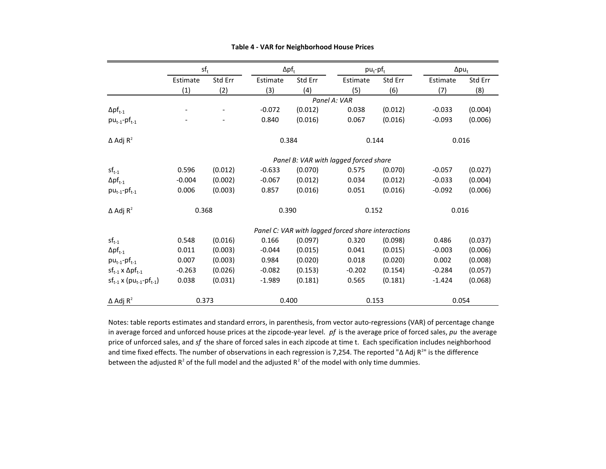|                                                      | $\mathsf{sf}_{\mathsf{t}}$ |         |          | $\Delta \text{pf}_t$                  | $pu_t$ -pf $_t$                                    |         | $\Delta$ pu <sub>t</sub> |         |
|------------------------------------------------------|----------------------------|---------|----------|---------------------------------------|----------------------------------------------------|---------|--------------------------|---------|
|                                                      | Estimate                   | Std Err | Estimate | Std Err                               | Estimate                                           | Std Err | Estimate                 | Std Err |
|                                                      | (1)                        | (2)     | (3)      | (4)                                   | (5)                                                | (6)     | (7)                      | (8)     |
|                                                      |                            |         |          |                                       | Panel A: VAR                                       |         |                          |         |
| $\Delta \text{pf}_{t-1}$                             |                            |         | $-0.072$ | (0.012)                               | 0.038                                              | (0.012) | $-0.033$                 | (0.004) |
| $pu_{t-1}$ -pf <sub>t-1</sub>                        |                            |         | 0.840    | (0.016)                               | 0.067                                              | (0.016) | $-0.093$                 | (0.006) |
| $\Delta$ Adj R <sup>2</sup>                          |                            |         | 0.384    |                                       | 0.144                                              |         | 0.016                    |         |
|                                                      |                            |         |          | Panel B: VAR with lagged forced share |                                                    |         |                          |         |
| $sf_{t-1}$                                           | 0.596                      | (0.012) | $-0.633$ | (0.070)                               | 0.575                                              | (0.070) | $-0.057$                 | (0.027) |
| $\Delta \text{pf}_{t-1}$                             | $-0.004$                   | (0.002) | $-0.067$ | (0.012)                               | 0.034                                              | (0.012) | $-0.033$                 | (0.004) |
| $pu_{t-1}$ -pf <sub>t-1</sub>                        | 0.006                      | (0.003) | 0.857    | (0.016)                               | 0.051                                              | (0.016) | $-0.092$                 | (0.006) |
| $\Delta$ Adj R <sup>2</sup>                          | 0.368                      |         | 0.390    |                                       | 0.152                                              |         | 0.016                    |         |
|                                                      |                            |         |          |                                       | Panel C: VAR with lagged forced share interactions |         |                          |         |
| $sf_{t-1}$                                           | 0.548                      | (0.016) | 0.166    | (0.097)                               | 0.320                                              | (0.098) | 0.486                    | (0.037) |
| $\Delta \mathsf{p}\mathsf{f}_{\mathsf{t}\text{-1}}$  | 0.011                      | (0.003) | $-0.044$ | (0.015)                               | 0.041                                              | (0.015) | $-0.003$                 | (0.006) |
| $pu_{t-1}$ -pf <sub>t-1</sub>                        | 0.007                      | (0.003) | 0.984    | (0.020)                               | 0.018                                              | (0.020) | 0.002                    | (0.008) |
| $\sf{sf}_{t-1}$ x $\sf{\Delta pf}_{t-1}$             | $-0.263$                   | (0.026) | $-0.082$ | (0.153)                               | $-0.202$                                           | (0.154) | $-0.284$                 | (0.057) |
| $sf_{t-1}$ x (pu <sub>t-1</sub> -pf <sub>t-1</sub> ) | 0.038                      | (0.031) | $-1.989$ | (0.181)                               | 0.565                                              | (0.181) | $-1.424$                 | (0.068) |
| $\Delta$ Adj R <sup>2</sup>                          | 0.373                      |         | 0.400    |                                       | 0.153                                              |         | 0.054                    |         |

#### **Table 4 ‐ VAR for Neighborhood House Prices**

Notes: table reports estimates and standard errors, in parenthesis, from vector auto‐regressions (VAR) of percentage change in average forced and unforced house prices at the zipcode‐year level. *pf* is the average price of forced sales, *pu* the average price of unforced sales, and *sf* the share of forced sales in each zipcode at time t. Each specification includes neighborhood and time fixed effects. The number of observations in each regression is 7,254. The reported "Δ Adj R<sup>2</sup>" is the difference between the adjusted R<sup>2</sup> of the full model and the adjusted R<sup>2</sup> of the model with only time dummies.